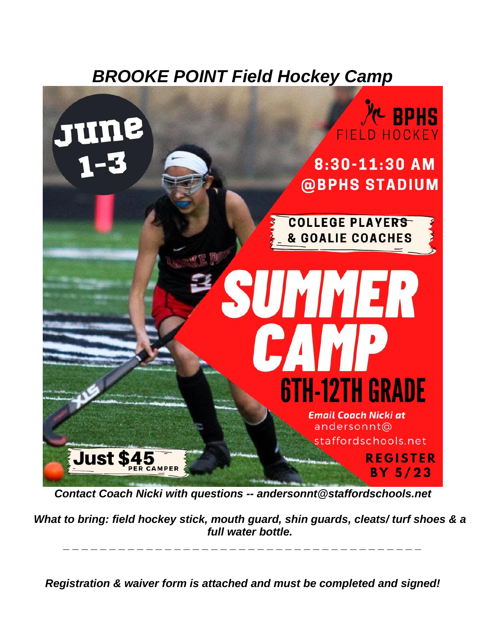## *BROOKE POINT Field Hockey Camp*



*Contact Coach Nicki with questions -- andersonnt@staffordschools.net*

*What to bring: field hockey stick, mouth guard, shin guards, cleats/ turf shoes & a full water bottle.* 

*Registration & waiver form is attached and must be completed and signed!*

*\_ \_ \_ \_ \_ \_ \_ \_ \_ \_ \_ \_ \_ \_ \_ \_ \_ \_ \_ \_ \_ \_ \_ \_ \_ \_ \_ \_ \_ \_ \_ \_ \_ \_ \_ \_ \_ \_ \_*